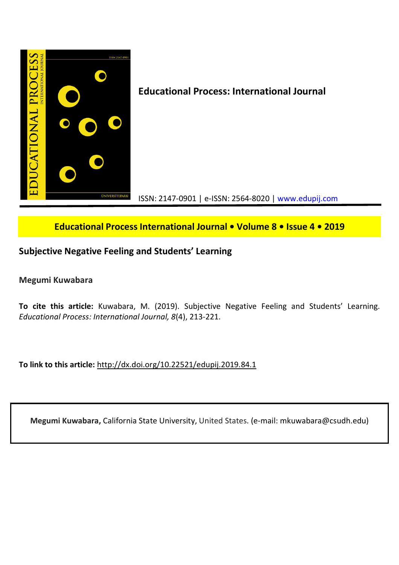

# **Educational Process International Journal • Volume 8 • Issue 4 • 2019**

# **Subjective Negative Feeling and Students' Learning**

**Megumi Kuwabara**

**To cite this article:** Kuwabara, M. (2019). Subjective Negative Feeling and Students' Learning. *Educational Process: International Journal, 8*(4), 213-221.

**To link to this article:** http://dx.doi.org/10.22521/edupij.2019.84.1

**Megumi Kuwabara,** California State University, United States. (e-mail: mkuwabara@csudh.edu)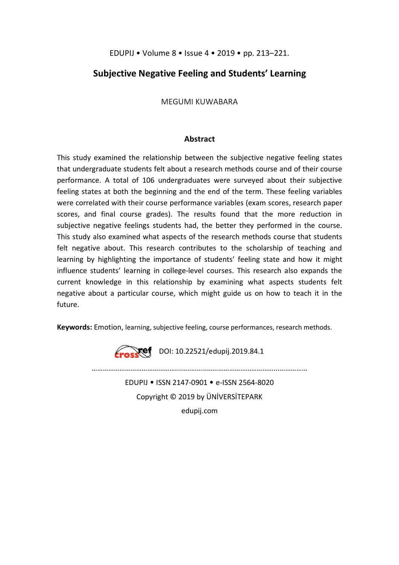EDUPIJ • Volume 8 • Issue 4 • 2019 • pp. 213–221.

# **Subjective Negative Feeling and Students' Learning**

MEGUMI KUWABARA

## **Abstract**

This study examined the relationship between the subjective negative feeling states that undergraduate students felt about a research methods course and of their course performance. A total of 106 undergraduates were surveyed about their subjective feeling states at both the beginning and the end of the term. These feeling variables were correlated with their course performance variables (exam scores, research paper scores, and final course grades). The results found that the more reduction in subjective negative feelings students had, the better they performed in the course. This study also examined what aspects of the research methods course that students felt negative about. This research contributes to the scholarship of teaching and learning by highlighting the importance of students' feeling state and how it might influence students' learning in college-level courses. This research also expands the current knowledge in this relationship by examining what aspects students felt negative about a particular course, which might guide us on how to teach it in the future.

**Keywords:** Emotion, learning, subjective feeling, course performances, research methods.



………………………………………........….....………………………………...…………… EDUPIJ • ISSN 2147-0901 • e-ISSN 2564-8020 Copyright © 2019 by ÜNİVERSİTEPARK

edupij.com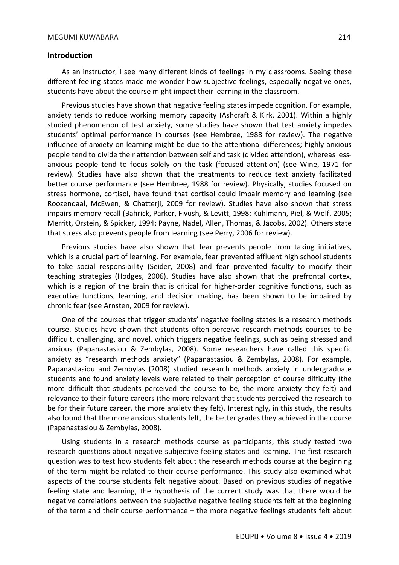#### **Introduction**

As an instructor, I see many different kinds of feelings in my classrooms. Seeing these different feeling states made me wonder how subjective feelings, especially negative ones, students have about the course might impact their learning in the classroom.

Previous studies have shown that negative feeling states impede cognition. For example, anxiety tends to reduce working memory capacity (Ashcraft & Kirk, 2001). Within a highly studied phenomenon of test anxiety, some studies have shown that test anxiety impedes students' optimal performance in courses (see Hembree, 1988 for review). The negative influence of anxiety on learning might be due to the attentional differences; highly anxious people tend to divide their attention between self and task (divided attention), whereas lessanxious people tend to focus solely on the task (focused attention) (see Wine, 1971 for review). Studies have also shown that the treatments to reduce text anxiety facilitated better course performance (see Hembree, 1988 for review). Physically, studies focused on stress hormone, cortisol, have found that cortisol could impair memory and learning (see Roozendaal, McEwen, & Chatterji, 2009 for review). Studies have also shown that stress impairs memory recall (Bahrick, Parker, Fivush, & Levitt, 1998; Kuhlmann, Piel, & Wolf, 2005; Merritt, Orstein, & Spicker, 1994; Payne, Nadel, Allen, Thomas, & Jacobs, 2002). Others state that stress also prevents people from learning (see Perry, 2006 for review).

Previous studies have also shown that fear prevents people from taking initiatives, which is a crucial part of learning. For example, fear prevented affluent high school students to take social responsibility (Seider, 2008) and fear prevented faculty to modify their teaching strategies (Hodges, 2006). Studies have also shown that the prefrontal cortex, which is a region of the brain that is critical for higher-order cognitive functions, such as executive functions, learning, and decision making, has been shown to be impaired by chronic fear (see Arnsten, 2009 for review).

One of the courses that trigger students' negative feeling states is a research methods course. Studies have shown that students often perceive research methods courses to be difficult, challenging, and novel, which triggers negative feelings, such as being stressed and anxious (Papanastasiou & Zembylas, 2008). Some researchers have called this specific anxiety as "research methods anxiety" (Papanastasiou & Zembylas, 2008). For example, Papanastasiou and Zembylas (2008) studied research methods anxiety in undergraduate students and found anxiety levels were related to their perception of course difficulty (the more difficult that students perceived the course to be, the more anxiety they felt) and relevance to their future careers (the more relevant that students perceived the research to be for their future career, the more anxiety they felt). Interestingly, in this study, the results also found that the more anxious students felt, the better grades they achieved in the course (Papanastasiou & Zembylas, 2008).

Using students in a research methods course as participants, this study tested two research questions about negative subjective feeling states and learning. The first research question was to test how students felt about the research methods course at the beginning of the term might be related to their course performance. This study also examined what aspects of the course students felt negative about. Based on previous studies of negative feeling state and learning, the hypothesis of the current study was that there would be negative correlations between the subjective negative feeling students felt at the beginning of the term and their course performance – the more negative feelings students felt about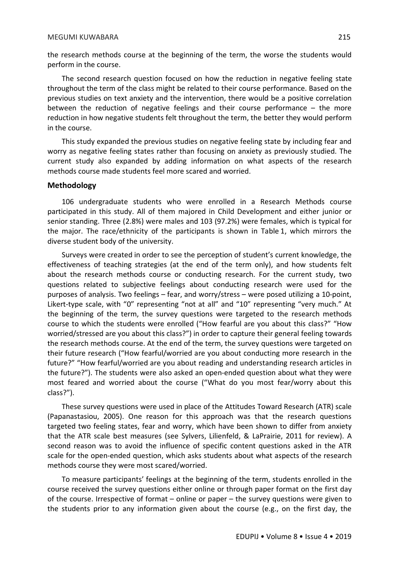#### MEGUMI KUWABARA 215

the research methods course at the beginning of the term, the worse the students would perform in the course.

The second research question focused on how the reduction in negative feeling state throughout the term of the class might be related to their course performance. Based on the previous studies on text anxiety and the intervention, there would be a positive correlation between the reduction of negative feelings and their course performance – the more reduction in how negative students felt throughout the term, the better they would perform in the course.

This study expanded the previous studies on negative feeling state by including fear and worry as negative feeling states rather than focusing on anxiety as previously studied. The current study also expanded by adding information on what aspects of the research methods course made students feel more scared and worried.

## **Methodology**

106 undergraduate students who were enrolled in a Research Methods course participated in this study. All of them majored in Child Development and either junior or senior standing. Three (2.8%) were males and 103 (97.2%) were females, which is typical for the major. The race/ethnicity of the participants is shown in Table 1, which mirrors the diverse student body of the university.

Surveys were created in order to see the perception of student's current knowledge, the effectiveness of teaching strategies (at the end of the term only), and how students felt about the research methods course or conducting research. For the current study, two questions related to subjective feelings about conducting research were used for the purposes of analysis. Two feelings – fear, and worry/stress – were posed utilizing a 10-point, Likert-type scale, with "0" representing "not at all" and "10" representing "very much." At the beginning of the term, the survey questions were targeted to the research methods course to which the students were enrolled ("How fearful are you about this class?" "How worried/stressed are you about this class?") in order to capture their general feeling towards the research methods course. At the end of the term, the survey questions were targeted on their future research ("How fearful/worried are you about conducting more research in the future?" "How fearful/worried are you about reading and understanding research articles in the future?"). The students were also asked an open-ended question about what they were most feared and worried about the course ("What do you most fear/worry about this class?").

These survey questions were used in place of the Attitudes Toward Research (ATR) scale (Papanastasiou, 2005). One reason for this approach was that the research questions targeted two feeling states, fear and worry, which have been shown to differ from anxiety that the ATR scale best measures (see Sylvers, Lilienfeld, & LaPrairie, 2011 for review). A second reason was to avoid the influence of specific content questions asked in the ATR scale for the open-ended question, which asks students about what aspects of the research methods course they were most scared/worried.

To measure participants' feelings at the beginning of the term, students enrolled in the course received the survey questions either online or through paper format on the first day of the course. Irrespective of format – online or paper – the survey questions were given to the students prior to any information given about the course (e.g., on the first day, the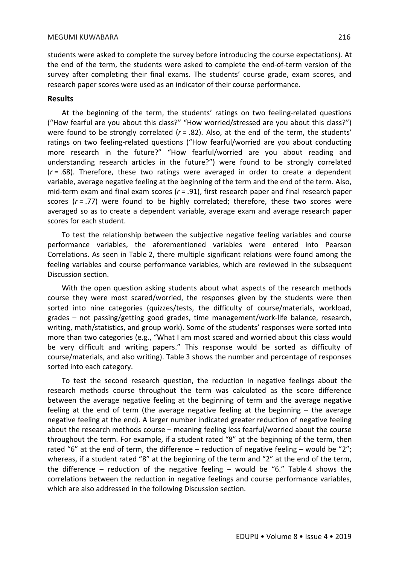students were asked to complete the survey before introducing the course expectations). At the end of the term, the students were asked to complete the end-of-term version of the survey after completing their final exams. The students' course grade, exam scores, and research paper scores were used as an indicator of their course performance.

#### **Results**

At the beginning of the term, the students' ratings on two feeling-related questions ("How fearful are you about this class?" "How worried/stressed are you about this class?") were found to be strongly correlated (*r* = .82). Also, at the end of the term, the students' ratings on two feeling-related questions ("How fearful/worried are you about conducting more research in the future?" "How fearful/worried are you about reading and understanding research articles in the future?") were found to be strongly correlated (*r* = .68). Therefore, these two ratings were averaged in order to create a dependent variable, average negative feeling at the beginning of the term and the end of the term. Also, mid-term exam and final exam scores (*r* = .91), first research paper and final research paper scores (*r* = .77) were found to be highly correlated; therefore, these two scores were averaged so as to create a dependent variable, average exam and average research paper scores for each student.

To test the relationship between the subjective negative feeling variables and course performance variables, the aforementioned variables were entered into Pearson Correlations. As seen in Table 2, there multiple significant relations were found among the feeling variables and course performance variables, which are reviewed in the subsequent Discussion section.

With the open question asking students about what aspects of the research methods course they were most scared/worried, the responses given by the students were then sorted into nine categories (quizzes/tests, the difficulty of course/materials, workload, grades – not passing/getting good grades, time management/work-life balance, research, writing, math/statistics, and group work). Some of the students' responses were sorted into more than two categories (e.g., "What I am most scared and worried about this class would be very difficult and writing papers." This response would be sorted as difficulty of course/materials, and also writing). Table 3 shows the number and percentage of responses sorted into each category.

To test the second research question, the reduction in negative feelings about the research methods course throughout the term was calculated as the score difference between the average negative feeling at the beginning of term and the average negative feeling at the end of term (the average negative feeling at the beginning – the average negative feeling at the end). A larger number indicated greater reduction of negative feeling about the research methods course – meaning feeling less fearful/worried about the course throughout the term. For example, if a student rated "8" at the beginning of the term, then rated "6" at the end of term, the difference – reduction of negative feeling – would be "2"; whereas, if a student rated "8" at the beginning of the term and "2" at the end of the term, the difference – reduction of the negative feeling – would be "6." Table 4 shows the correlations between the reduction in negative feelings and course performance variables, which are also addressed in the following Discussion section.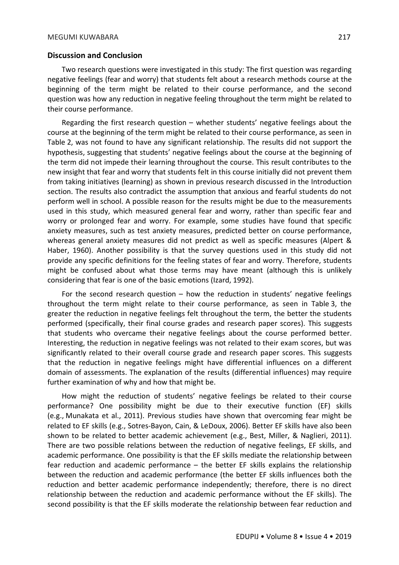### **Discussion and Conclusion**

Two research questions were investigated in this study: The first question was regarding negative feelings (fear and worry) that students felt about a research methods course at the beginning of the term might be related to their course performance, and the second question was how any reduction in negative feeling throughout the term might be related to their course performance.

Regarding the first research question – whether students' negative feelings about the course at the beginning of the term might be related to their course performance, as seen in Table 2, was not found to have any significant relationship. The results did not support the hypothesis, suggesting that students' negative feelings about the course at the beginning of the term did not impede their learning throughout the course. This result contributes to the new insight that fear and worry that students felt in this course initially did not prevent them from taking initiatives (learning) as shown in previous research discussed in the Introduction section. The results also contradict the assumption that anxious and fearful students do not perform well in school. A possible reason for the results might be due to the measurements used in this study, which measured general fear and worry, rather than specific fear and worry or prolonged fear and worry. For example, some studies have found that specific anxiety measures, such as test anxiety measures, predicted better on course performance, whereas general anxiety measures did not predict as well as specific measures (Alpert & Haber, 1960). Another possibility is that the survey questions used in this study did not provide any specific definitions for the feeling states of fear and worry. Therefore, students might be confused about what those terms may have meant (although this is unlikely considering that fear is one of the basic emotions (Izard, 1992).

For the second research question – how the reduction in students' negative feelings throughout the term might relate to their course performance, as seen in Table 3, the greater the reduction in negative feelings felt throughout the term, the better the students performed (specifically, their final course grades and research paper scores). This suggests that students who overcame their negative feelings about the course performed better. Interesting, the reduction in negative feelings was not related to their exam scores, but was significantly related to their overall course grade and research paper scores. This suggests that the reduction in negative feelings might have differential influences on a different domain of assessments. The explanation of the results (differential influences) may require further examination of why and how that might be.

How might the reduction of students' negative feelings be related to their course performance? One possibility might be due to their executive function (EF) skills (e.g., Munakata et al., 2011). Previous studies have shown that overcoming fear might be related to EF skills (e.g., Sotres-Bayon, Cain, & LeDoux, 2006). Better EF skills have also been shown to be related to better academic achievement (e.g., Best, Miller, & Naglieri, 2011). There are two possible relations between the reduction of negative feelings, EF skills, and academic performance. One possibility is that the EF skills mediate the relationship between fear reduction and academic performance – the better EF skills explains the relationship between the reduction and academic performance (the better EF skills influences both the reduction and better academic performance independently; therefore, there is no direct relationship between the reduction and academic performance without the EF skills). The second possibility is that the EF skills moderate the relationship between fear reduction and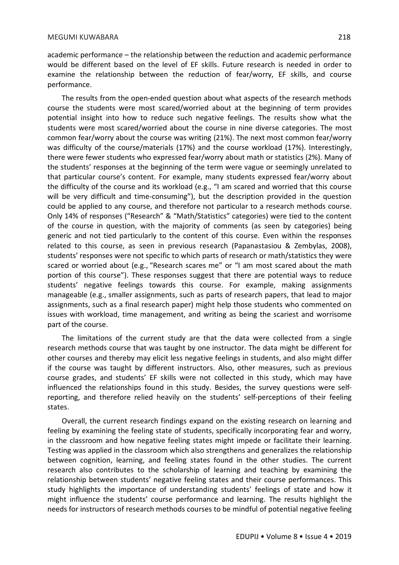academic performance – the relationship between the reduction and academic performance would be different based on the level of EF skills. Future research is needed in order to examine the relationship between the reduction of fear/worry, EF skills, and course performance.

The results from the open-ended question about what aspects of the research methods course the students were most scared/worried about at the beginning of term provides potential insight into how to reduce such negative feelings. The results show what the students were most scared/worried about the course in nine diverse categories. The most common fear/worry about the course was writing (21%). The next most common fear/worry was difficulty of the course/materials (17%) and the course workload (17%). Interestingly, there were fewer students who expressed fear/worry about math or statistics (2%). Many of the students' responses at the beginning of the term were vague or seemingly unrelated to that particular course's content. For example, many students expressed fear/worry about the difficulty of the course and its workload (e.g., "I am scared and worried that this course will be very difficult and time-consuming"), but the description provided in the question could be applied to any course, and therefore not particular to a research methods course. Only 14% of responses ("Research" & "Math/Statistics" categories) were tied to the content of the course in question, with the majority of comments (as seen by categories) being generic and not tied particularly to the content of this course. Even within the responses related to this course, as seen in previous research (Papanastasiou & Zembylas, 2008), students' responses were not specific to which parts of research or math/statistics they were scared or worried about (e.g., "Research scares me" or "I am most scared about the math portion of this course"). These responses suggest that there are potential ways to reduce students' negative feelings towards this course. For example, making assignments manageable (e.g., smaller assignments, such as parts of research papers, that lead to major assignments, such as a final research paper) might help those students who commented on issues with workload, time management, and writing as being the scariest and worrisome part of the course.

The limitations of the current study are that the data were collected from a single research methods course that was taught by one instructor. The data might be different for other courses and thereby may elicit less negative feelings in students, and also might differ if the course was taught by different instructors. Also, other measures, such as previous course grades, and students' EF skills were not collected in this study, which may have influenced the relationships found in this study. Besides, the survey questions were selfreporting, and therefore relied heavily on the students' self-perceptions of their feeling states.

Overall, the current research findings expand on the existing research on learning and feeling by examining the feeling state of students, specifically incorporating fear and worry, in the classroom and how negative feeling states might impede or facilitate their learning. Testing was applied in the classroom which also strengthens and generalizes the relationship between cognition, learning, and feeling states found in the other studies. The current research also contributes to the scholarship of learning and teaching by examining the relationship between students' negative feeling states and their course performances. This study highlights the importance of understanding students' feelings of state and how it might influence the students' course performance and learning. The results highlight the needs for instructors of research methods courses to be mindful of potential negative feeling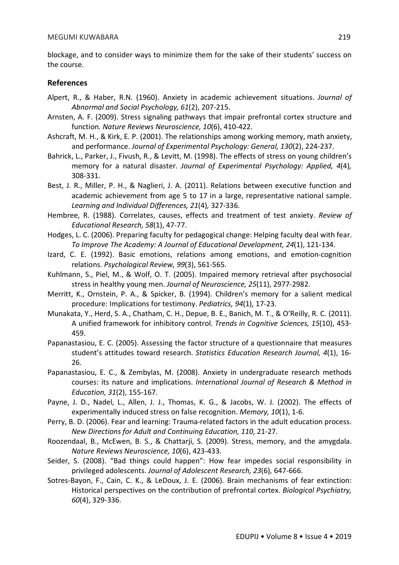blockage, and to consider ways to minimize them for the sake of their students' success on the course.

### **References**

- Alpert, R., & Haber, R.N. (1960). Anxiety in academic achievement situations. *Journal of Abnormal and Social Psychology, 61*(2), 207-215.
- Arnsten, A. F. (2009). Stress signaling pathways that impair prefrontal cortex structure and function*. Nature Reviews Neuroscience, 10*(6), 410-422.
- Ashcraft, M. H., & Kirk, E. P. (2001). The relationships among working memory, math anxiety, and performance. *Journal of Experimental Psychology: General, 130*(2), 224-237.
- Bahrick, L., Parker, J., Fivush, R., & Levitt, M. (1998). The effects of stress on young children's memory for a natural disaster. *Journal of Experimental Psychology: Applied, 4*(4)*,*  308-331.
- Best, J. R., Miller, P. H., & Naglieri, J. A. (2011). Relations between executive function and academic achievement from age 5 to 17 in a large, representative national sample. *Learning and Individual Differences, 21*(4)*,* 327-336.
- Hembree, R. (1988). Correlates, causes, effects and treatment of test anxiety. *Review of Educational Research, 58*(1), 47-77.
- Hodges, L. C. (2006). Preparing faculty for pedagogical change: Helping faculty deal with fear. *To Improve The Academy: A Journal of Educational Development, 24*(1), 121-134.
- Izard, C. E. (1992). Basic emotions, relations among emotions, and emotion-cognition relations. *Psychological Review, 99*(3), 561-565.
- Kuhlmann, S., Piel, M., & Wolf, O. T. (2005). Impaired memory retrieval after psychosocial stress in healthy young men. *Journal of Neuroscience, 25*(11), 2977-2982.
- Merritt, K., Ornstein, P. A., & Spicker, B. (1994). Children's memory for a salient medical procedure: Implications for testimony. *Pediatrics, 94*(1)*,* 17-23.
- Munakata, Y., Herd, S. A., Chatham, C. H., Depue, B. E., Banich, M. T., & O'Reilly, R. C. (2011). A unified framework for inhibitory control. *Trends in Cognitive Sciences, 15*(10), 453- 459.
- Papanastasiou, E. C. (2005). Assessing the factor structure of a questionnaire that measures student's attitudes toward research. *Statistics Education Research Journal, 4*(1), 16- 26.
- Papanastasiou, E. C., & Zembylas, M. (2008). Anxiety in undergraduate research methods courses: its nature and implications. *International Journal of Research & Method in Education, 31*(2), 155-167.
- Payne, J. D., Nadel, L., Allen, J. J., Thomas, K. G., & Jacobs, W. J. (2002). The effects of experimentally induced stress on false recognition. *Memory, 10*(1), 1-6.
- Perry, B. D. (2006). Fear and learning: Trauma-related factors in the adult education process. *New Directions for Adult and Continuing Education, 110,* 21-27.
- Roozendaal, B., McEwen, B. S., & Chattarji, S. (2009). Stress, memory, and the amygdala. *Nature Reviews Neuroscience, 10*(6), 423-433.
- Seider, S. (2008). "Bad things could happen": How fear impedes social responsibility in privileged adolescents. *Journal of Adolescent Research, 23*(6)*,* 647-666.
- Sotres-Bayon, F., Cain, C. K., & LeDoux, J. E. (2006). Brain mechanisms of fear extinction: Historical perspectives on the contribution of prefrontal cortex. *Biological Psychiatry, 60*(4), 329-336.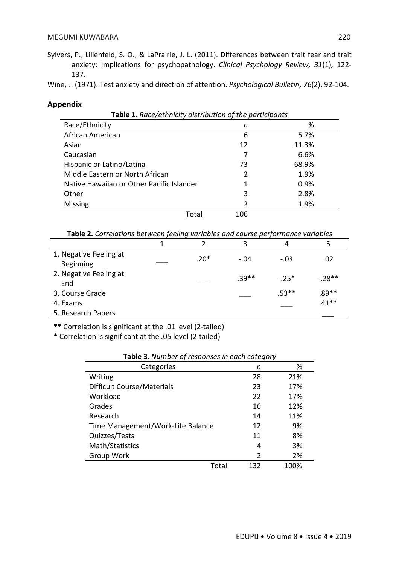Sylvers, P., Lilienfeld, S. O., & LaPrairie, J. L. (2011). Differences between trait fear and trait anxiety: Implications for psychopathology. *Clinical Psychology Review, 31*(1)*,* 122- 137.

Wine, J. (1971). Test anxiety and direction of attention. *Psychological Bulletin, 76*(2), 92-104.

## **Appendix**

| Table 1. Race/ethnicity distribution of the participants |               |       |  |  |
|----------------------------------------------------------|---------------|-------|--|--|
| Race/Ethnicity                                           | n             | %     |  |  |
| African American                                         | 6             | 5.7%  |  |  |
| Asian                                                    | 12            | 11.3% |  |  |
| Caucasian                                                |               | 6.6%  |  |  |
| Hispanic or Latino/Latina                                | 73            | 68.9% |  |  |
| Middle Eastern or North African                          | $\mathcal{P}$ | 1.9%  |  |  |
| Native Hawaiian or Other Pacific Islander                |               | 0.9%  |  |  |
| Other                                                    | 3             | 2.8%  |  |  |
| <b>Missing</b>                                           | 2             | 1.9%  |  |  |
| Total                                                    | 106           |       |  |  |

| Table 2. Correlations between feeling variables and course performance variables |  |  |  |  |
|----------------------------------------------------------------------------------|--|--|--|--|
|----------------------------------------------------------------------------------|--|--|--|--|

|                                     |        | 3        | 4       |          |
|-------------------------------------|--------|----------|---------|----------|
| 1. Negative Feeling at<br>Beginning | $.20*$ | $-.04$   | $-.03$  | .02      |
| 2. Negative Feeling at<br>End       |        | $-.39**$ | $-25*$  | $-.28**$ |
| 3. Course Grade                     |        |          | $.53**$ | $.89**$  |
| 4. Exams                            |        |          |         | $.41**$  |
| 5. Research Papers                  |        |          |         |          |

\*\* Correlation is significant at the .01 level (2-tailed)

\* Correlation is significant at the .05 level (2-tailed)

| Table 3. Number of responses in each category |               |      |  |  |
|-----------------------------------------------|---------------|------|--|--|
| Categories                                    | n             | %    |  |  |
| Writing                                       | 28            | 21%  |  |  |
| Difficult Course/Materials                    | 23            | 17%  |  |  |
| Workload                                      | 22            | 17%  |  |  |
| Grades                                        | 16            | 12%  |  |  |
| Research                                      | 14            | 11%  |  |  |
| Time Management/Work-Life Balance             | 12            | 9%   |  |  |
| Quizzes/Tests                                 | 11            | 8%   |  |  |
| Math/Statistics                               | 4             | 3%   |  |  |
| Group Work                                    | $\mathcal{P}$ | 2%   |  |  |
|                                               | Total<br>132  | 100% |  |  |